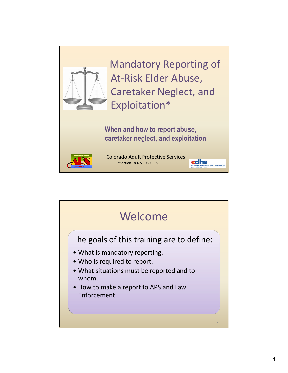

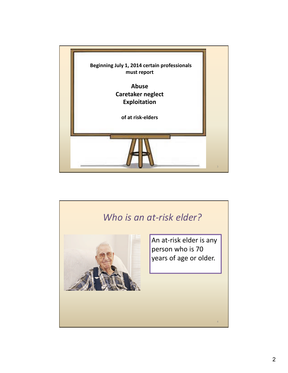

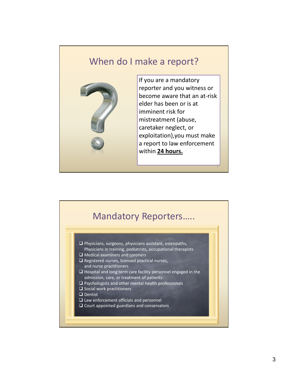### When do I make a report?



If you are a mandatory reporter and you witness or become aware that an at-risk elder has been or is at imminent risk for mistreatment (abuse, caretaker neglect, or exploitation),you must make a report to law enforcement within **24 hours.**

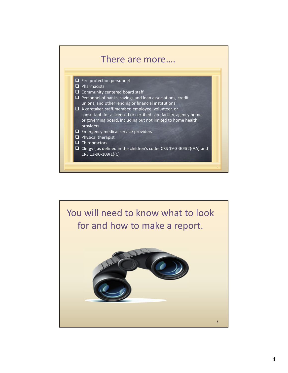

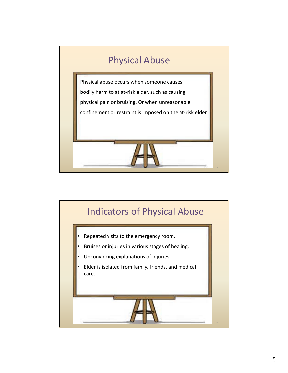

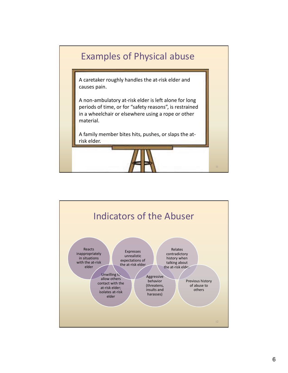

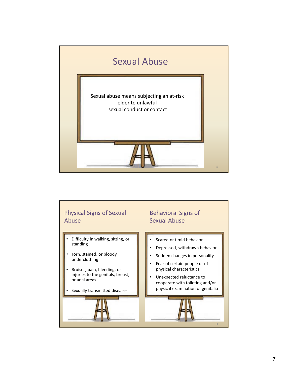

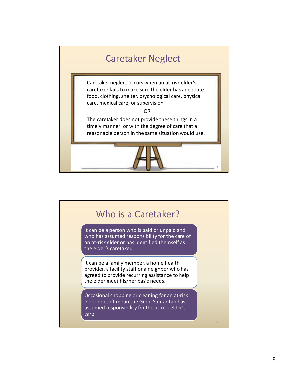

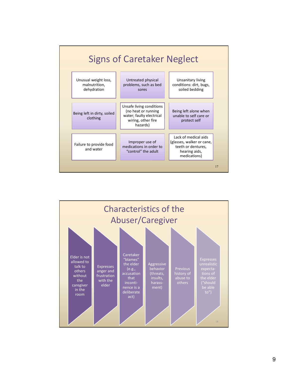

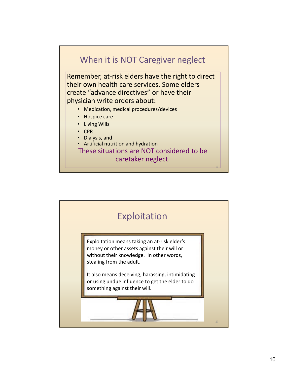#### When it is NOT Caregiver neglect

Remember, at-risk elders have the right to direct their own health care services. Some elders create "advance directives" or have their physician write orders about:

- Medication, medical procedures/devices
- Hospice care
- Living Wills
- CPR
- Dialysis, and
- Artificial nutrition and hydration

These situations are NOT considered to be caretaker neglect.

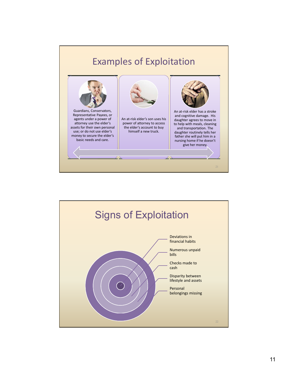

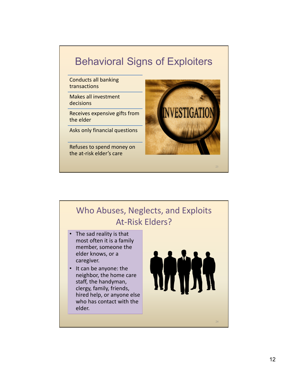# Behavioral Signs of Exploiters

Conducts all banking transactions

Makes all investment decisions

Receives expensive gifts from the elder

Asks only financial questions

Refuses to spend money on the at-risk elder's care



## Who Abuses, Neglects, and Exploits At-Risk Elders?

- The sad reality is that most often it is a family member, someone the elder knows, or a caregiver.
- It can be anyone: the neighbor, the home care staff, the handyman, clergy, family, friends, hired help, or anyone else who has contact with the elder.

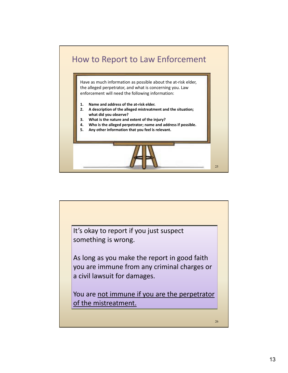

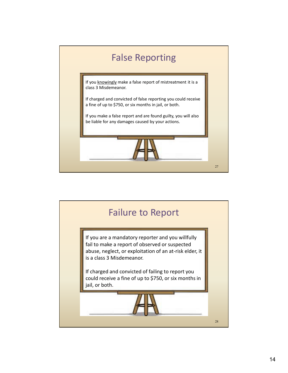

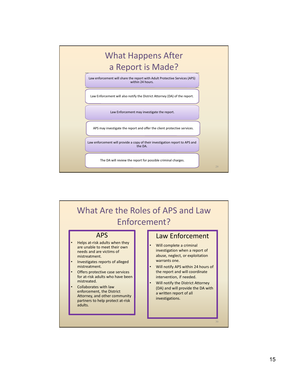



- are unable to meet their own needs and are victims of mistreatment.
- Investigates reports of alleged mistreatment.
- Offers protective case services for at-risk adults who have been mistreated.
- Collaborates with law enforcement, the District Attorney, and other community partners to help protect at-risk adults.
- Will complete a criminal investigation when a report of abuse, neglect, or exploitation warrants one.
- Will notify APS within 24 hours of the report and will coordinate intervention, if needed.
- Will notify the District Attorney (DA) and will provide the DA with a written report of all investigations.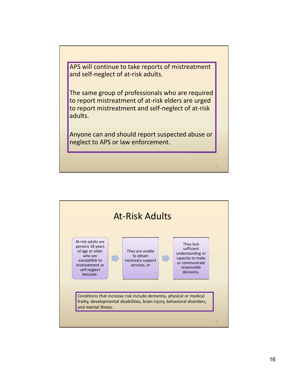APS will continue to take reports of mistreatment and self-neglect of at-risk adults.

The same group of professionals who are required to report mistreatment of at-risk elders are urged to report mistreatment and self-neglect of at-risk adults.

Anyone can and should report suspected abuse or neglect to APS or law enforcement.

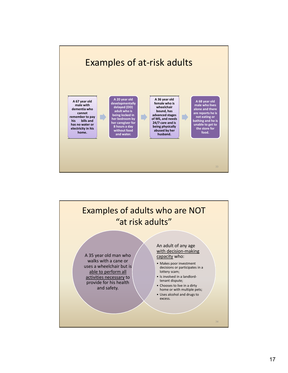

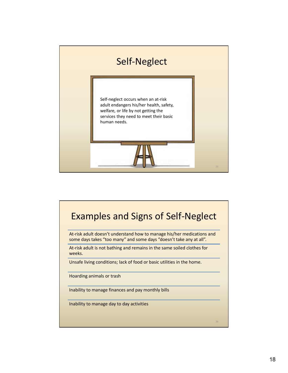

## Examples and Signs of Self-Neglect

At-risk adult doesn't understand how to manage his/her medications and some days takes "too many" and some days "doesn't take any at all".

At-risk adult is not bathing and remains in the same soiled clothes for weeks.

Unsafe living conditions; lack of food or basic utilities in the home.

Hoarding animals or trash

Inability to manage finances and pay monthly bills

Inability to manage day to day activities

36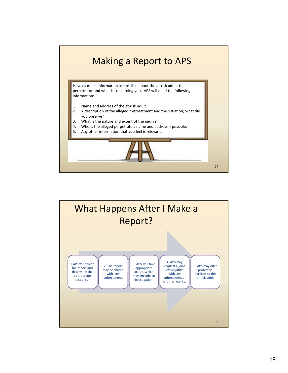

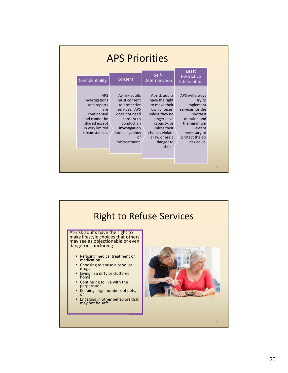| <b>APS Priorities</b>                                                                                                                     |                                                                                                                                                                           |                                                                                                                                                                                                 |                                                                                                                                                                   |
|-------------------------------------------------------------------------------------------------------------------------------------------|---------------------------------------------------------------------------------------------------------------------------------------------------------------------------|-------------------------------------------------------------------------------------------------------------------------------------------------------------------------------------------------|-------------------------------------------------------------------------------------------------------------------------------------------------------------------|
| Confidentiality                                                                                                                           | Consent                                                                                                                                                                   | Self-<br>Determination                                                                                                                                                                          | Least<br>Restrictive<br>Intervention                                                                                                                              |
| <b>APS</b><br>investigations<br>and reports<br>are<br>confidential<br>and cannot be<br>shared except<br>in very limited<br>circumstances. | At-risk adults<br>must consent<br>to protective<br>services. APS<br>does not need<br>consent to<br>conduct an<br>investigation<br>into allegations<br>of<br>mistreatment. | At-risk adults<br>have the right<br>to make their<br>own choices,<br>unless they no<br>longer have<br>capacity, or<br>unless their<br>choices violate<br>a law or are a<br>danger to<br>others. | APS will always<br>try to<br>implement<br>services for the<br>shortest<br>duration and<br>the minimum<br>extent<br>necessary to<br>protect the at-<br>risk adult. |

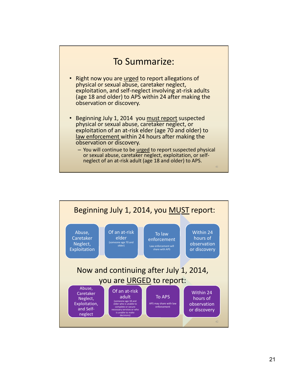